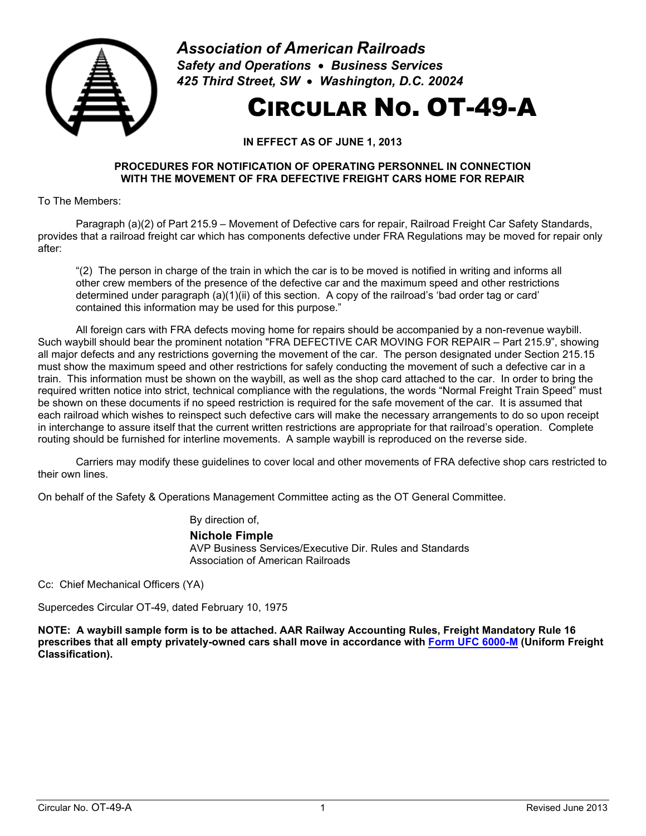

*Association of American Railroads Safety and Operations* • *Business Services 425 Third Street, SW* • *Washington, D.C. 20024*

## CIRCULAR NO. OT-49-A

**IN EFFECT AS OF JUNE 1, 2013**

## **PROCEDURES FOR NOTIFICATION OF OPERATING PERSONNEL IN CONNECTION WITH THE MOVEMENT OF FRA DEFECTIVE FREIGHT CARS HOME FOR REPAIR**

To The Members:

Paragraph (a)(2) of Part 215.9 – Movement of Defective cars for repair, Railroad Freight Car Safety Standards, provides that a railroad freight car which has components defective under FRA Regulations may be moved for repair only after:

"(2) The person in charge of the train in which the car is to be moved is notified in writing and informs all other crew members of the presence of the defective car and the maximum speed and other restrictions determined under paragraph (a)(1)(ii) of this section. A copy of the railroad's 'bad order tag or card' contained this information may be used for this purpose."

All foreign cars with FRA defects moving home for repairs should be accompanied by a non-revenue waybill. Such waybill should bear the prominent notation "FRA DEFECTIVE CAR MOVING FOR REPAIR – Part 215.9", showing all major defects and any restrictions governing the movement of the car. The person designated under Section 215.15 must show the maximum speed and other restrictions for safely conducting the movement of such a defective car in a train. This information must be shown on the waybill, as well as the shop card attached to the car. In order to bring the required written notice into strict, technical compliance with the regulations, the words "Normal Freight Train Speed" must be shown on these documents if no speed restriction is required for the safe movement of the car. It is assumed that each railroad which wishes to reinspect such defective cars will make the necessary arrangements to do so upon receipt in interchange to assure itself that the current written restrictions are appropriate for that railroad's operation. Complete routing should be furnished for interline movements. A sample waybill is reproduced on the reverse side.

Carriers may modify these guidelines to cover local and other movements of FRA defective shop cars restricted to their own lines.

On behalf of the Safety & Operations Management Committee acting as the OT General Committee.

By direction of,

## **Nichole Fimple**

AVP Business Services/Executive Dir. Rules and Standards Association of American Railroads

Cc: Chief Mechanical Officers (YA)

Supercedes Circular OT-49, dated February 10, 1975

**NOTE: A waybill sample form is to be attached. AAR Railway Accounting Rules, Freight Mandatory Rule 16 prescribes that all empty privately-owned cars shall move in accordance with [Form UFC 6000-M](https://public.railinc.com/resources/national-tariffs/ufc-6000-m) (Uniform Freight Classification).**